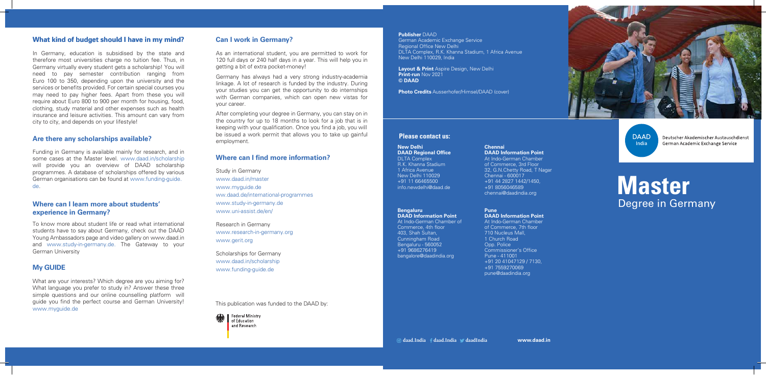**www.daad.in**

This publication was funded to the DAAD by:



# **Master**  Degree in Germany

#### **Please contact us:**

#### **Publisher** DAAD

German Academic Exchange Service Regional Office New Delhi DLTA Complex, R.K. Khanna Stadium, 1 Africa Avenue New Delhi 110029, India

**Layout & Print** Aspire Design, New Delhi **Print-run** Nov 2021 **© DAAD**

**Photo Credits** Ausserhofer/Himsel/DAAD (cover)

# **What kind of budget should I have in my mind?**

### **Are there any scholarships available?**

# **Where can I learn more about students' experience in Germany?**

# **Can I work in Germany?**

In Germany, education is subsidised by the state and therefore most universities charge no tuition fee. Thus, in Germany virtually every student gets a scholarship! You will need to pay semester contribution ranging from Euro 100 to 350, depending upon the university and the services or benefits provided. For certain special courses you may need to pay higher fees. Apart from these you will require about Euro 800 to 900 per month for housing, food, clothing, study material and other expenses such as health insurance and leisure activities. This amount can vary from city to city, and depends on your lifestyle!

Funding in Germany is available mainly for research, and in some cases at the Master level. www.daad.in/scholarship will provide you an overview of DAAD scholarship programmes. A database of scholarships offered by various German organisations can be found at www.funding-guide. de.

To know more about student life or read what international students have to say about Germany, check out the DAAD Young Ambassadors page and video gallery on www.daad.in and www.study-in-germany.de. The Gateway to your German University

# **My GUIDE**

What are your interests? Which degree are you aiming for? What language you prefer to study in? Answer these three simple questions and our online counselling platform will guide you find the perfect course and German University! www.myguide.de

As an international student, you are permitted to work for 120 full days or 240 half days in a year. This will help you in getting a bit of extra pocket-money!

Germany has always had a very strong industry-academia linkage. A lot of research is funded by the industry. During your studies you can get the opportunity to do internships with German companies, which can open new vistas for your career.

After completing your degree in Germany, you can stay on in the country for up to 18 months to look for a job that is in keeping with your qualification. Once you find a job, you will be issued a work permit that allows you to take up gainful employment.

Study in Germany www.daad.in/master www.myguide.de ww.daad.de/international-programmes www.study-in-germany.de www.uni-assist.de/en/

Research in Germany www.research-in-germany.org www.gerit.org

Scholarships for Germany www.daad.in/scholarship www.funding-guide.de

### **Where can I find more information?**

#### **New Delhi DAAD Regional Office** DLTA Complex

R.K. Khanna Stadium 1 Africa Avenue New Delhi 110029 +91 11 66465500 info.newdelhi@daad.de

#### **Bengaluru**

**DAAD Information Point** At Indo-German Chamber of Commerce, 4th floor 403, Shah Sultan, Cunningham Road Bengaluru - 560052 +91 9686276419 bangalore@daadindia.org

#### **Chennai DAAD Information Point**

At Indo-German Chamber of Commerce, 3rd Floor 32, G.N.Chetty Road, T Nagar Chennai - 600017 +91 44 2827 1442/1450, +91 8056046589 chennai@daadindia.org

#### **Pune DAAD Information Point** At Indo-German Chamber of Commerce, 7th floor 710 Nucleus Mall, 1 Church Road Opp. Police Commissioner's Office Pune - 411001 +91 20 41047129 / 7130, +91 7559270069

daad.India fdaad.India daadIndia



pune@daadindia.org

**DAAD** India

Deutscher Akademischer Austauschdienst German Academic Exchange Service